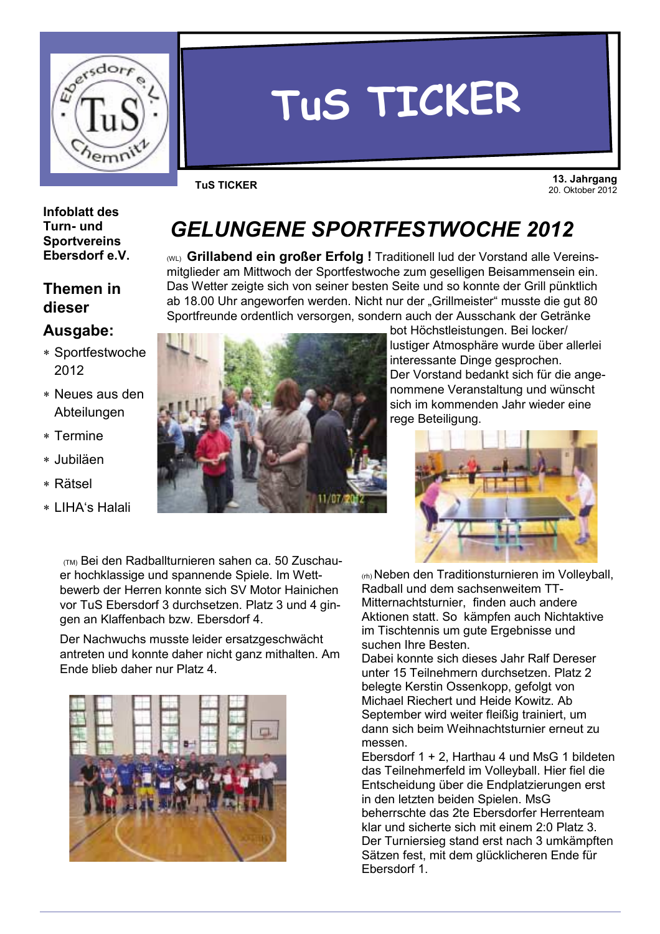

# TUS TICKER

**TUS TICKER** 

13. Jahrgang 20. Oktober 2012

#### **Infoblatt des** Turn- und **Sportvereins** Ebersdorf e.V.

## **Themen in** dieser

## Ausgabe:

- \* Sportfestwoche 2012
- \* Neues aus den Abteilungen
- \* Termine
- \* Jubiläen
- \* Rätsel
- \* I IHA's Halali



(ML) Grillabend ein großer Erfolg ! Traditionell lud der Vorstand alle Vereinsmitglieder am Mittwoch der Sportfestwoche zum geselligen Beisammensein ein. Das Wetter zeigte sich von seiner besten Seite und so konnte der Grill pünktlich ab 18.00 Uhr angeworfen werden. Nicht nur der "Grillmeister" musste die gut 80 Sportfreunde ordentlich versorgen, sondern auch der Ausschank der Getränke



bot Höchstleistungen. Bei locker/ lustiger Atmosphäre wurde über allerlei interessante Dinge gesprochen. Der Vorstand bedankt sich für die angenommene Veranstaltung und wünscht sich im kommenden Jahr wieder eine rege Beteiligung.



(TM) Bei den Radballturnieren sahen ca. 50 Zuschauer hochklassige und spannende Spiele. Im Wettbewerb der Herren konnte sich SV Motor Hainichen vor TuS Ebersdorf 3 durchsetzen. Platz 3 und 4 gingen an Klaffenbach bzw. Ebersdorf 4.

Der Nachwuchs musste leider ersatzgeschwächt antreten und konnte daher nicht ganz mithalten. Am Ende blieb daher nur Platz 4.



(rh) Neben den Traditionsturnieren im Volleyball, Radball und dem sachsenweitem TT-Mitternachtsturnier, finden auch andere Aktionen statt. So kämpfen auch Nichtaktive im Tischtennis um gute Ergebnisse und suchen Ihre Besten

Dabei konnte sich dieses Jahr Ralf Dereser unter 15 Teilnehmern durchsetzen. Platz 2 belegte Kerstin Ossenkopp, gefolgt von Michael Riechert und Heide Kowitz, Ab September wird weiter fleißig trainiert, um dann sich beim Weihnachtsturnier erneut zu messen

Ebersdorf 1 + 2. Harthau 4 und MsG 1 bildeten das Teilnehmerfeld im Volleyball. Hier fiel die Entscheidung über die Endplatzierungen erst in den letzten beiden Spielen. MsG beherrschte das 2te Ebersdorfer Herrenteam klar und sicherte sich mit einem 2:0 Platz 3. Der Turniersieg stand erst nach 3 umkämpften Sätzen fest, mit dem glücklicheren Ende für Ebersdorf 1.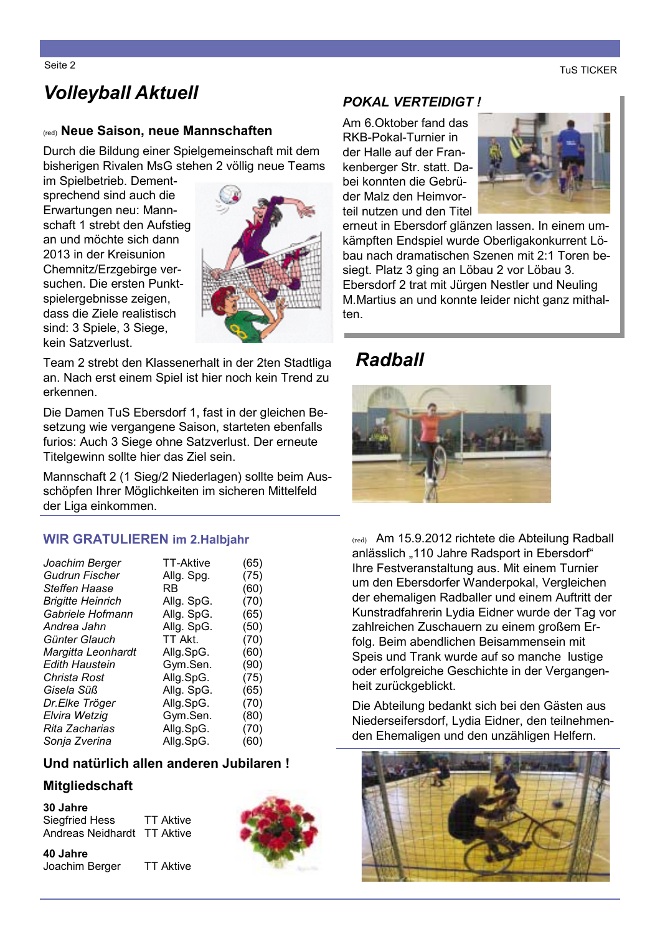**TuS TICKER** 

# **Volleyball Aktuell**

#### (red) Neue Saison, neue Mannschaften

Durch die Bildung einer Spielgemeinschaft mit dem bisherigen Rivalen MsG stehen 2 völlig neue Teams

im Spielbetrieb. Dementsprechend sind auch die Erwartungen neu: Mannschaft 1 strebt den Aufstieg an und möchte sich dann 2013 in der Kreisunion Chemnitz/Erzgebirge versuchen. Die ersten Punktspielergebnisse zeigen, dass die Ziele realistisch sind: 3 Spiele, 3 Siege, kein Satzverlust.



Team 2 strebt den Klassenerhalt in der 2ten Stadtliga an. Nach erst einem Spiel ist hier noch kein Trend zu erkennen.

Die Damen TuS Ebersdorf 1, fast in der gleichen Besetzung wie vergangene Saison, starteten ebenfalls furios: Auch 3 Siege ohne Satzverlust. Der erneute Titelgewinn sollte hier das Ziel sein.

Mannschaft 2 (1 Sieg/2 Niederlagen) sollte beim Ausschöpfen Ihrer Möglichkeiten im sicheren Mittelfeld der Liga einkommen.

#### **WIR GRATULIEREN im 2. Halbjahr**

| Joachim Berger           | <b>TT-Aktive</b> | (65) |
|--------------------------|------------------|------|
| <b>Gudrun Fischer</b>    | Allg. Spg.       | (75) |
| Steffen Haase            | RB               | (60) |
| <b>Brigitte Heinrich</b> | Allg. SpG.       | (70) |
| Gabriele Hofmann         | Allg. SpG.       | (65) |
| Andrea Jahn              | Allg. SpG.       | (50) |
| Günter Glauch            | TT Akt.          | (70) |
| Margitta Leonhardt       | Allg.SpG.        | (60) |
| Edith Haustein           | Gym.Sen.         | (90) |
| Christa Rost             | Allg.SpG.        | (75) |
| Gisela Süß               | Allg. SpG.       | (65) |
| Dr.Elke Tröger           | Allg.SpG.        | (70) |
| Elvira Wetzig            | Gym.Sen.         | (80) |
| Rita Zacharias           | Allg.SpG.        | (70) |
| Sonja Zverina            | Allg.SpG.        | (60) |
|                          |                  |      |

#### Und natürlich allen anderen Jubilaren!

#### **Mitgliedschaft**

30 Jahre **TT Aktive Siegfried Hess** Andreas Neidhardt TT Aktive

40 Jahre Joachim Berger **TT Aktive** 



### **POKAL VERTEIDIGT!**

Am 6. Oktober fand das RKB-Pokal-Turnier in der Halle auf der Frankenberger Str. statt. Dabei konnten die Gebrüder Malz den Heimvorteil nutzen und den Titel



erneut in Ebersdorf glänzen lassen. In einem umkämpften Endspiel wurde Oberligakonkurrent Löbau nach dramatischen Szenen mit 2:1 Toren besiegt. Platz 3 ging an Löbau 2 vor Löbau 3. Ebersdorf 2 trat mit Jürgen Nestler und Neuling M. Martius an und konnte leider nicht ganz mithalten.

## **Radball**



(red) Am 15.9.2012 richtete die Abteilung Radball anlässlich "110 Jahre Radsport in Ebersdorf" Ihre Festveranstaltung aus. Mit einem Turnier um den Ebersdorfer Wanderpokal, Vergleichen der ehemaligen Radballer und einem Auftritt der Kunstradfahrerin Lydia Eidner wurde der Tag vor zahlreichen Zuschauern zu einem großem Erfolg. Beim abendlichen Beisammensein mit Speis und Trank wurde auf so manche lustige oder erfolgreiche Geschichte in der Vergangenheit zurückgeblickt.

Die Abteilung bedankt sich bei den Gästen aus Niederseifersdorf, Lydia Eidner, den teilnehmenden Ehemaligen und den unzähligen Helfern.



Seite 2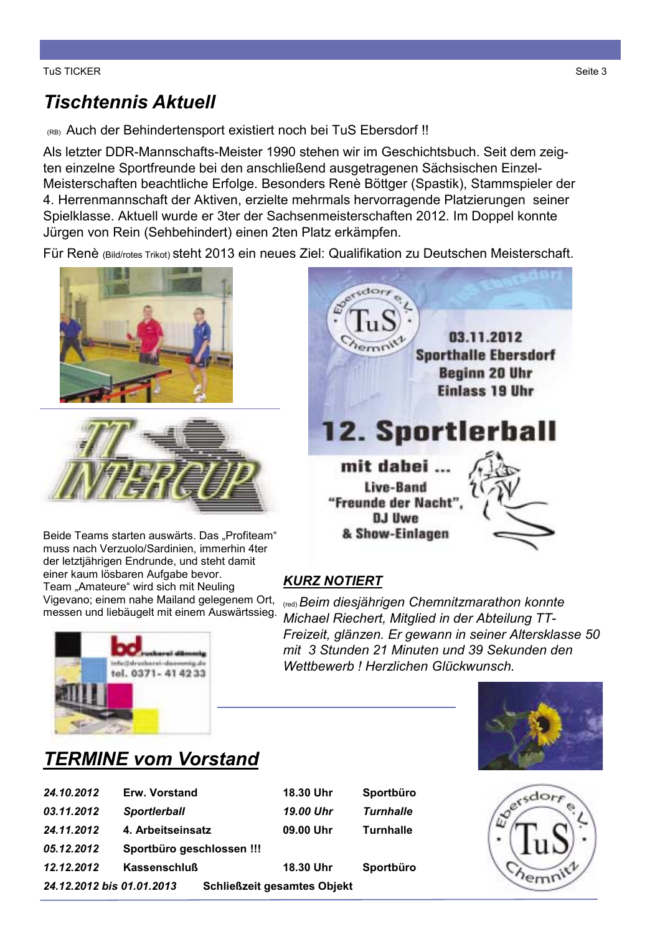# **Tischtennis Aktuell**

(RB) Auch der Behindertensport existiert noch bei TuS Ebersdorf!!

Als letzter DDR-Mannschafts-Meister 1990 stehen wir im Geschichtsbuch. Seit dem zeigten einzelne Sportfreunde bei den anschließend ausgetragenen Sächsischen Einzel-Meisterschaften beachtliche Erfolge. Besonders Renè Böttger (Spastik), Stammspieler der 4. Herrenmannschaft der Aktiven, erzielte mehrmals hervorragende Platzierungen seiner Spielklasse. Aktuell wurde er 3ter der Sachsenmeisterschaften 2012. Im Doppel konnte Jürgen von Rein (Sehbehindert) einen 2ten Platz erkämpfen.

Für Renè (Bild/rotes Trikot) steht 2013 ein neues Ziel: Qualifikation zu Deutschen Meisterschaft.





Beide Teams starten auswärts. Das "Profiteam" muss nach Verzuolo/Sardinien, immerhin 4ter der letztjährigen Endrunde, und steht damit einer kaum lösbaren Aufgabe bevor. Team "Amateure" wird sich mit Neuling Vigevano; einem nahe Mailand gelegenem Ort, messen und liebäugelt mit einem Auswärtssieg.



# 03.11.2012 **Sporthalle Ebersdorf Beginn 20 Uhr Einlass 19 Uhr 12. Sportlerball** mit dabei ... **Live-Band** "Freunde der Nacht' **DJ Uwe** & Show-Einlagen

## **KURZ NOTIERT**

<sub>(red)</sub> Beim diesjährigen Chemnitzmarathon konnte Michael Riechert, Mitglied in der Abteilung TT-Freizeit, glänzen. Er gewann in seiner Altersklasse 50 mit 3 Stunden 21 Minuten und 39 Sekunden den Wetthewerb | Herzlichen Glückwunsch



# $e^{s \cdot \text{dor}_f}$ emr?

# **TERMINE vom Vorstand**

| 24.10.2012                | Erw. Vorstand             |                                    | 18.30 Uhr        | Sportbüro        |
|---------------------------|---------------------------|------------------------------------|------------------|------------------|
| 03.11.2012                | <b>Sportlerball</b>       |                                    | 19.00 Uhr        | <b>Turnhalle</b> |
| 24.11.2012                | 4. Arbeitseinsatz         |                                    | 09.00 Uhr        | <b>Turnhalle</b> |
| 05.12.2012                | Sportbüro geschlossen !!! |                                    |                  |                  |
| 12.12.2012                | <b>Kassenschluß</b>       |                                    | <b>18.30 Uhr</b> | Sportbüro        |
| 24.12.2012 bis 01.01.2013 |                           | <b>Schließzeit gesamtes Objekt</b> |                  |                  |